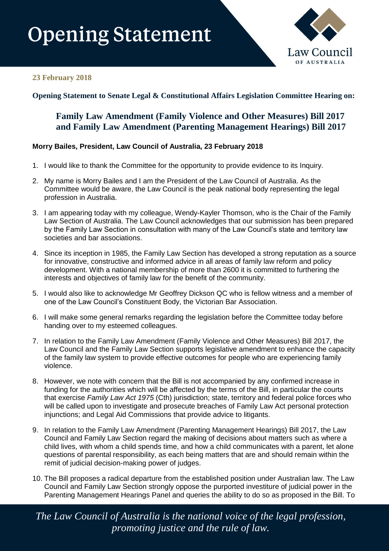# **Opening Statement**



## **23 February 2018**

## **Opening Statement to Senate Legal & Constitutional Affairs Legislation Committee Hearing on:**

## **Family Law Amendment (Family Violence and Other Measures) Bill 2017 and Family Law Amendment (Parenting Management Hearings) Bill 2017**

## **Morry Bailes, President, Law Council of Australia, 23 February 2018**

- 1. I would like to thank the Committee for the opportunity to provide evidence to its Inquiry.
- 2. My name is Morry Bailes and I am the President of the Law Council of Australia. As the Committee would be aware, the Law Council is the peak national body representing the legal profession in Australia.
- 3. I am appearing today with my colleague, Wendy-Kayler Thomson, who is the Chair of the Family Law Section of Australia. The Law Council acknowledges that our submission has been prepared by the Family Law Section in consultation with many of the Law Council's state and territory law societies and bar associations.
- 4. Since its inception in 1985, the Family Law Section has developed a strong reputation as a source for innovative, constructive and informed advice in all areas of family law reform and policy development. With a national membership of more than 2600 it is committed to furthering the interests and objectives of family law for the benefit of the community.
- 5. I would also like to acknowledge Mr Geoffrey Dickson QC who is fellow witness and a member of one of the Law Council's Constituent Body, the Victorian Bar Association.
- 6. I will make some general remarks regarding the legislation before the Committee today before handing over to my esteemed colleagues.
- 7. In relation to the Family Law Amendment (Family Violence and Other Measures) Bill 2017, the Law Council and the Family Law Section supports legislative amendment to enhance the capacity of the family law system to provide effective outcomes for people who are experiencing family violence.
- 8. However, we note with concern that the Bill is not accompanied by any confirmed increase in funding for the authorities which will be affected by the terms of the Bill, in particular the courts that exercise *Family Law Act 1975* (Cth) jurisdiction; state, territory and federal police forces who will be called upon to investigate and prosecute breaches of Family Law Act personal protection injunctions; and Legal Aid Commissions that provide advice to litigants.
- 9. In relation to the Family Law Amendment (Parenting Management Hearings) Bill 2017, the Law Council and Family Law Section regard the making of decisions about matters such as where a child lives, with whom a child spends time, and how a child communicates with a parent, let alone questions of parental responsibility, as each being matters that are and should remain within the remit of judicial decision-making power of judges.
- 10. The Bill proposes a radical departure from the established position under Australian law. The Law Council and Family Law Section strongly oppose the purported investiture of judicial power in the Parenting Management Hearings Panel and queries the ability to do so as proposed in the Bill. To

*The Law Council of Australia is the national voice of the legal profession, promoting justice and the rule of law.*